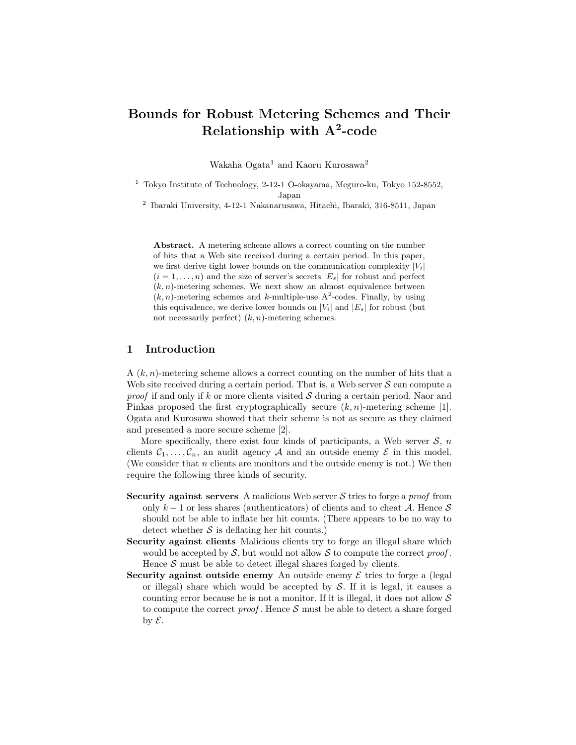# Bounds for Robust Metering Schemes and Their Relationship with  $\mathrm{A}^{2}\text{-}\mathrm{code}$

Wakaha Ogata<sup>1</sup> and Kaoru Kurosawa<sup>2</sup>

<sup>1</sup> Tokyo Institute of Technology, 2-12-1 O-okayama, Meguro-ku, Tokyo 152-8552, Japan

2 Ibaraki University, 4-12-1 Nakanarusawa, Hitachi, Ibaraki, 316-8511, Japan

Abstract. A metering scheme allows a correct counting on the number of hits that a Web site received during a certain period. In this paper, we first derive tight lower bounds on the communication complexity  $|V_i|$  $(i = 1, \ldots, n)$  and the size of server's secrets  $|E_s|$  for robust and perfect  $(k, n)$ -metering schemes. We next show an almost equivalence between  $(k, n)$ -metering schemes and k-multiple-use A<sup>2</sup>-codes. Finally, by using this equivalence, we derive lower bounds on  $|V_i|$  and  $|E_s|$  for robust (but not necessarily perfect)  $(k, n)$ -metering schemes.

## 1 Introduction

 $A(k, n)$ -metering scheme allows a correct counting on the number of hits that a Web site received during a certain period. That is, a Web server  $S$  can compute a *proof* if and only if k or more clients visited  $S$  during a certain period. Naor and Pinkas proposed the first cryptographically secure  $(k, n)$ -metering scheme [1]. Ogata and Kurosawa showed that their scheme is not as secure as they claimed and presented a more secure scheme [2].

More specifically, there exist four kinds of participants, a Web server  $S$ ,  $n$ clients  $C_1, \ldots, C_n$ , an audit agency A and an outside enemy E in this model. (We consider that  $n$  clients are monitors and the outside enemy is not.) We then require the following three kinds of security.

- Security against servers A malicious Web server  $S$  tries to forge a *proof* from only  $k-1$  or less shares (authenticators) of clients and to cheat A. Hence S should not be able to inflate her hit counts. (There appears to be no way to detect whether  $S$  is deflating her hit counts.)
- Security against clients Malicious clients try to forge an illegal share which would be accepted by  $S$ , but would not allow  $S$  to compute the correct proof. Hence  $S$  must be able to detect illegal shares forged by clients.
- Security against outside enemy An outside enemy  $\mathcal E$  tries to forge a (legal or illegal) share which would be accepted by  $S$ . If it is legal, it causes a counting error because he is not a monitor. If it is illegal, it does not allow  $\mathcal S$ to compute the correct *proof*. Hence  $S$  must be able to detect a share forged by  $\mathcal{E}$ .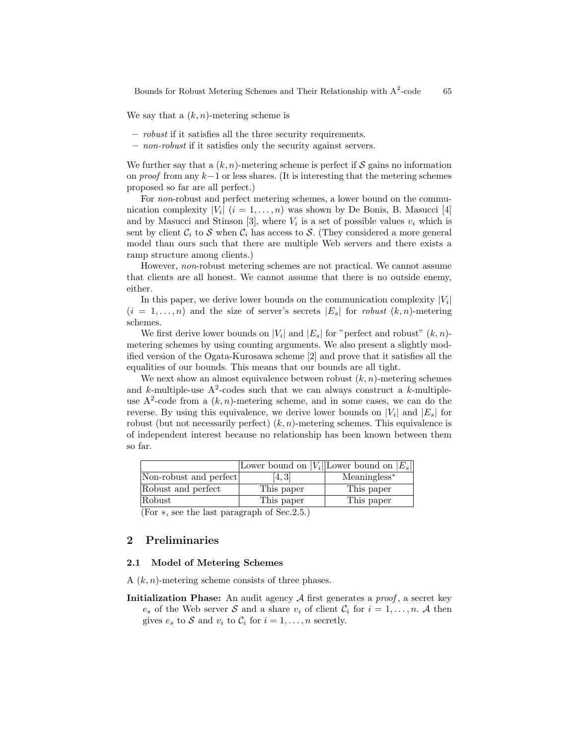We say that a  $(k, n)$ -metering scheme is

- robust if it satisfies all the three security requirements.
- non-robust if it satisfies only the security against servers.

We further say that a  $(k, n)$ -metering scheme is perfect if S gains no information on proof from any  $k-1$  or less shares. (It is interesting that the metering schemes proposed so far are all perfect.)

For non-robust and perfect metering schemes, a lower bound on the communication complexity  $|V_i|$   $(i = 1, ..., n)$  was shown by De Bonis, B. Masucci [4] and by Masucci and Stinson [3], where  $V_i$  is a set of possible values  $v_i$  which is sent by client  $C_i$  to S when  $C_i$  has access to S. (They considered a more general model than ours such that there are multiple Web servers and there exists a ramp structure among clients.)

However, non-robust metering schemes are not practical. We cannot assume that clients are all honest. We cannot assume that there is no outside enemy, either.

In this paper, we derive lower bounds on the communication complexity  $|V_i|$  $(i = 1, \ldots, n)$  and the size of server's secrets  $|E_s|$  for *robust*  $(k, n)$ -metering schemes.

We first derive lower bounds on  $|V_i|$  and  $|E_s|$  for "perfect and robust"  $(k, n)$ metering schemes by using counting arguments. We also present a slightly modified version of the Ogata-Kurosawa scheme [2] and prove that it satisfies all the equalities of our bounds. This means that our bounds are all tight.

We next show an almost equivalence between robust  $(k, n)$ -metering schemes and k-multiple-use  $A^2$ -codes such that we can always construct a k-multipleuse  $A^2$ -code from a  $(k, n)$ -metering scheme, and in some cases, we can do the reverse. By using this equivalence, we derive lower bounds on  $|V_i|$  and  $|E_s|$  for robust (but not necessarily perfect)  $(k, n)$ -metering schemes. This equivalence is of independent interest because no relationship has been known between them so far.

|                                                                                                         |            | Lower bound on $ V_i $ Lower bound on $ E_s $ |
|---------------------------------------------------------------------------------------------------------|------------|-----------------------------------------------|
| Non-robust and perfect                                                                                  | 14. 31     | $Meaningless^*$                               |
| Robust and perfect                                                                                      | This paper | This paper                                    |
| Robust                                                                                                  | This paper | This paper                                    |
| $(\Gamma_{\Omega_1}, \ldots, \Gamma_{\Omega_n})$ the lest news map b of $\Gamma_{\Omega_2}$ of $\Gamma$ |            |                                               |

(For ∗, see the last paragraph of Sec.2.5.)

## 2 Preliminaries

### 2.1 Model of Metering Schemes

A  $(k, n)$ -metering scheme consists of three phases.

**Initialization Phase:** An audit agency  $\mathcal A$  first generates a *proof*, a secret key  $e_s$  of the Web server S and a share  $v_i$  of client  $\mathcal{C}_i$  for  $i = 1, \ldots, n$ . A then gives  $e_s$  to S and  $v_i$  to  $\mathcal{C}_i$  for  $i = 1, \ldots, n$  secretly.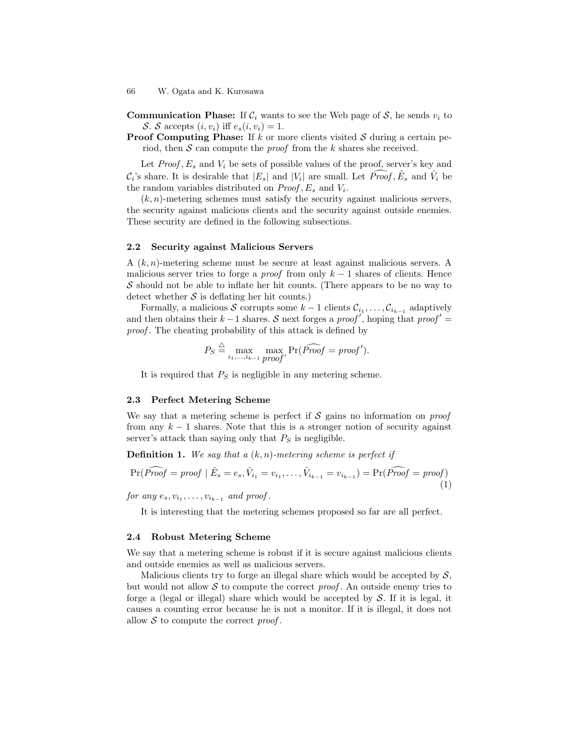**Communication Phase:** If  $\mathcal{C}_i$  wants to see the Web page of S, he sends  $v_i$  to S. S accepts  $(i, v_i)$  iff  $e_s(i, v_i) = 1$ .

**Proof Computing Phase:** If k or more clients visited  $S$  during a certain period, then  $S$  can compute the *proof* from the k shares she received.

Let  $Proof, E_s$  and  $V_i$  be sets of possible values of the proof, server's key and  $C_i$ 's share. It is desirable that  $|E_s|$  and  $|V_i|$  are small. Let  $\widehat{Proof}, \widehat{E}_s$  and  $\widehat{V}_i$  be the random variables distributed on  $Proof, E_s$  and  $V_i$ .

 $(k, n)$ -metering schemes must satisfy the security against malicious servers, the security against malicious clients and the security against outside enemies. These security are defined in the following subsections.

### 2.2 Security against Malicious Servers

A  $(k, n)$ -metering scheme must be secure at least against malicious servers. A malicious server tries to forge a *proof* from only  $k-1$  shares of clients. Hence  $\mathcal S$  should not be able to inflate her hit counts. (There appears to be no way to detect whether  $S$  is deflating her hit counts.)

Formally, a malicious S corrupts some  $k-1$  clients  $\mathcal{C}_{i_1}, \ldots, \mathcal{C}_{i_{k-1}}$  adaptively and then obtains their  $k-1$  shares. S next forges a proof', hoping that proof' = proof. The cheating probability of this attack is defined by

$$
P_S \stackrel{\triangle}{=} \max_{i_1,\ldots,i_{k-1}} \max_{proof'} \Pr(\widehat{Proof} = \text{proof}').
$$

It is required that  $P<sub>S</sub>$  is negligible in any metering scheme.

### 2.3 Perfect Metering Scheme

We say that a metering scheme is perfect if  $S$  gains no information on proof from any  $k-1$  shares. Note that this is a stronger notion of security against server's attack than saying only that  $P<sub>S</sub>$  is negligible.

**Definition 1.** We say that a  $(k, n)$ -metering scheme is perfect if

$$
\Pr(\widehat{Proof} = \text{proof} \mid \hat{E}_s = e_s, \hat{V}_{i_1} = v_{i_1}, \dots, \hat{V}_{i_{k-1}} = v_{i_{k-1}}) = \Pr(\widehat{Proof} = \text{proof})
$$
\n(1)

for any  $e_s, v_{i_1}, \ldots, v_{i_{k-1}}$  and proof.

It is interesting that the metering schemes proposed so far are all perfect.

### 2.4 Robust Metering Scheme

We say that a metering scheme is robust if it is secure against malicious clients and outside enemies as well as malicious servers.

Malicious clients try to forge an illegal share which would be accepted by  $S$ , but would not allow  $\mathcal S$  to compute the correct proof. An outside enemy tries to forge a (legal or illegal) share which would be accepted by  $S$ . If it is legal, it causes a counting error because he is not a monitor. If it is illegal, it does not allow  $S$  to compute the correct proof.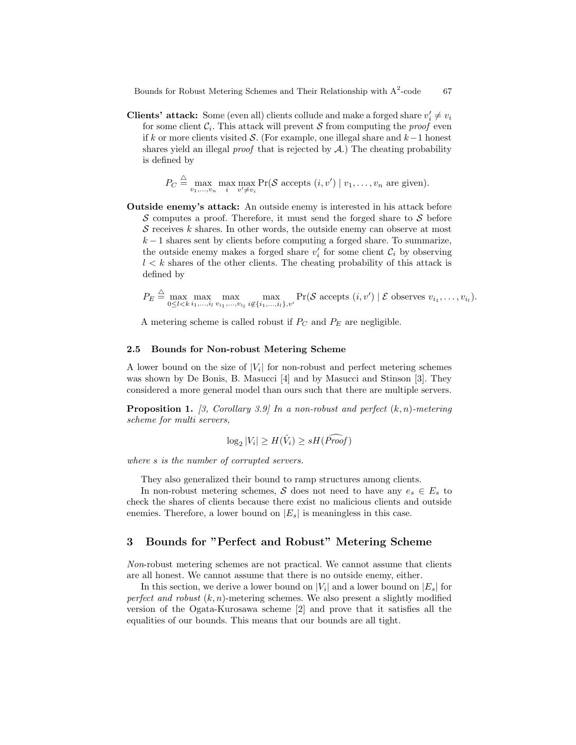**Clients' attack:** Some (even all) clients collude and make a forged share  $v'_i \neq v_i$ for some client  $\mathcal{C}_i$ . This attack will prevent S from computing the *proof* even if k or more clients visited S. (For example, one illegal share and k−1 honest shares yield an illegal *proof* that is rejected by  $A$ .) The cheating probability is defined by

$$
P_C \stackrel{\triangle}{=} \max_{v_1,\ldots,v_n} \max_i \max_{v' \neq v_i} \Pr(\mathcal{S} \text{ accepts } (i,v') \mid v_1,\ldots,v_n \text{ are given}).
$$

Outside enemy's attack: An outside enemy is interested in his attack before  $\mathcal S$  computes a proof. Therefore, it must send the forged share to  $\mathcal S$  before S receives  $k$  shares. In other words, the outside enemy can observe at most  $k-1$  shares sent by clients before computing a forged share. To summarize, the outside enemy makes a forged share  $v_i'$  for some client  $\mathcal{C}_i$  by observing  $l < k$  shares of the other clients. The cheating probability of this attack is defined by

 $P_E \stackrel{\triangle}{=} \max_{0 \leq l < k} \max_{i_1, \dots, i_l} \max_{v_{i_1}, \dots, v_{i_l}} \max_{i \notin \{i_1, \dots, i_l\}, v'} \Pr(\mathcal{S} \text{ accepts } (i, v') \mid \mathcal{E} \text{ observes } v_{i_1}, \dots, v_{i_l}).$ 

A metering scheme is called robust if  $P_C$  and  $P_E$  are negligible.

### 2.5 Bounds for Non-robust Metering Scheme

A lower bound on the size of  $|V_i|$  for non-robust and perfect metering schemes was shown by De Bonis, B. Masucci [4] and by Masucci and Stinson [3]. They considered a more general model than ours such that there are multiple servers.

**Proposition 1.** [3, Corollary 3.9] In a non-robust and perfect  $(k, n)$ -metering scheme for multi servers,

$$
\log_2 |V_i| \ge H(\hat{V}_i) \ge sH(\widehat{Proof})
$$

where s is the number of corrupted servers.

They also generalized their bound to ramp structures among clients.

In non-robust metering schemes, S does not need to have any  $e_s \in E_s$  to check the shares of clients because there exist no malicious clients and outside enemies. Therefore, a lower bound on  $|E_s|$  is meaningless in this case.

## 3 Bounds for "Perfect and Robust" Metering Scheme

Non-robust metering schemes are not practical. We cannot assume that clients are all honest. We cannot assume that there is no outside enemy, either.

In this section, we derive a lower bound on  $|V_i|$  and a lower bound on  $|E_s|$  for perfect and robust  $(k, n)$ -metering schemes. We also present a slightly modified version of the Ogata-Kurosawa scheme [2] and prove that it satisfies all the equalities of our bounds. This means that our bounds are all tight.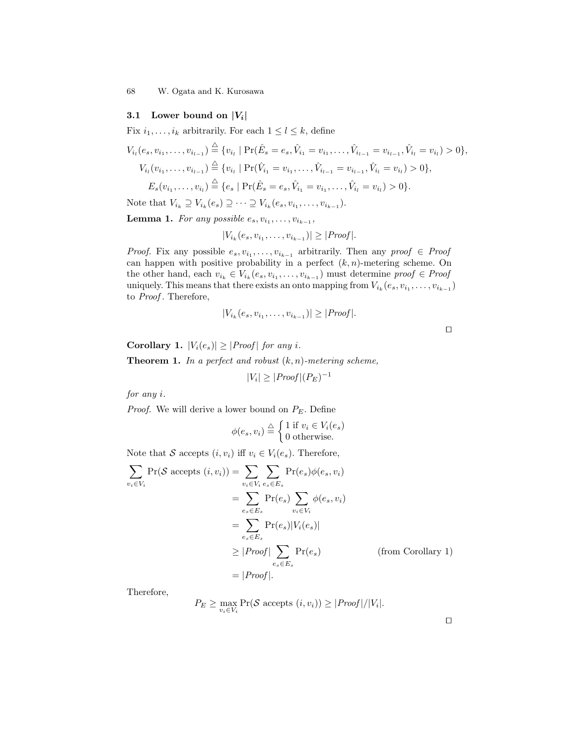### 3.1 Lower bound on  $|V_i|$

Fix  $i_1, \ldots, i_k$  arbitrarily. For each  $1 \leq l \leq k$ , define

$$
V_{i_l}(e_s, v_{i_1}, \ldots, v_{i_{l-1}}) \stackrel{\triangle}{=} \{v_{i_l} \mid \Pr(\hat{E}_s = e_s, \hat{V}_{i_1} = v_{i_1}, \ldots, \hat{V}_{i_{l-1}} = v_{i_{l-1}}, \hat{V}_{i_l} = v_{i_l}) > 0\},
$$
  
\n
$$
V_{i_l}(v_{i_1}, \ldots, v_{i_{l-1}}) \stackrel{\triangle}{=} \{v_{i_l} \mid \Pr(\hat{V}_{i_1} = v_{i_1}, \ldots, \hat{V}_{i_{l-1}} = v_{i_{l-1}}, \hat{V}_{i_l} = v_{i_l}) > 0\},
$$
  
\n
$$
E_s(v_{i_1}, \ldots, v_{i_l}) \stackrel{\triangle}{=} \{e_s \mid \Pr(\hat{E}_s = e_s, \hat{V}_{i_1} = v_{i_1}, \ldots, \hat{V}_{i_l} = v_{i_l}) > 0\}.
$$

Note that  $V_{i_k} \supseteq V_{i_k}(e_s) \supseteq \cdots \supseteq V_{i_k}(e_s, v_{i_1}, \ldots, v_{i_{k-1}}).$ 

**Lemma 1.** For any possible  $e_s, v_{i_1}, \ldots, v_{i_{k-1}},$ 

$$
|V_{i_k}(e_s, v_{i_1}, \dots, v_{i_{k-1}})| \ge |Proof|.
$$

*Proof.* Fix any possible  $e_s, v_{i_1}, \ldots, v_{i_{k-1}}$  arbitrarily. Then any proof  $\in$  Proof can happen with positive probability in a perfect  $(k, n)$ -metering scheme. On the other hand, each  $v_{i_k} \in V_{i_k}(e_s, v_{i_1}, \ldots, v_{i_{k-1}})$  must determine  $proof \in Proof$ uniquely. This means that there exists an onto mapping from  $V_{i_k}(e_s, v_{i_1}, \ldots, v_{i_{k-1}})$ to *Proof*. Therefore,

$$
|V_{i_k}(e_s, v_{i_1}, \ldots, v_{i_{k-1}})| \ge |Proof|.
$$

| ۰ |  |  |
|---|--|--|
|   |  |  |
|   |  |  |

Corollary 1.  $|V_i(e_s)| \geq |Proof|$  for any i. **Theorem 1.** In a perfect and robust  $(k, n)$ -metering scheme,  $|V_i| \ge |Proof| (P_E)^{-1}$ 

for any i.

*Proof.* We will derive a lower bound on  $P_E$ . Define

$$
\phi(e_s, v_i) \stackrel{\triangle}{=} \begin{cases} 1 \text{ if } v_i \in V_i(e_s) \\ 0 \text{ otherwise.} \end{cases}
$$

Note that S accepts  $(i, v_i)$  iff  $v_i \in V_i(e_s)$ . Therefore,

$$
\sum_{v_i \in V_i} \Pr(\mathcal{S} \text{ accepts } (i, v_i)) = \sum_{v_i \in V_i} \sum_{e_s \in E_s} \Pr(e_s) \phi(e_s, v_i)
$$
\n
$$
= \sum_{e_s \in E_s} \Pr(e_s) \sum_{v_i \in V_i} \phi(e_s, v_i)
$$
\n
$$
= \sum_{e_s \in E_s} \Pr(e_s) |V_i(e_s)|
$$
\n
$$
\geq |Proof| \sum_{e_s \in E_s} \Pr(e_s) \qquad \text{(from Corollary 1)}
$$
\n
$$
= |Proof|.
$$

Therefore,

$$
P_E \ge \max_{v_i \in V_i} \Pr(\mathcal{S} \text{ accepts } (i, v_i)) \ge |Proof| / |V_i|.
$$

 $\Box$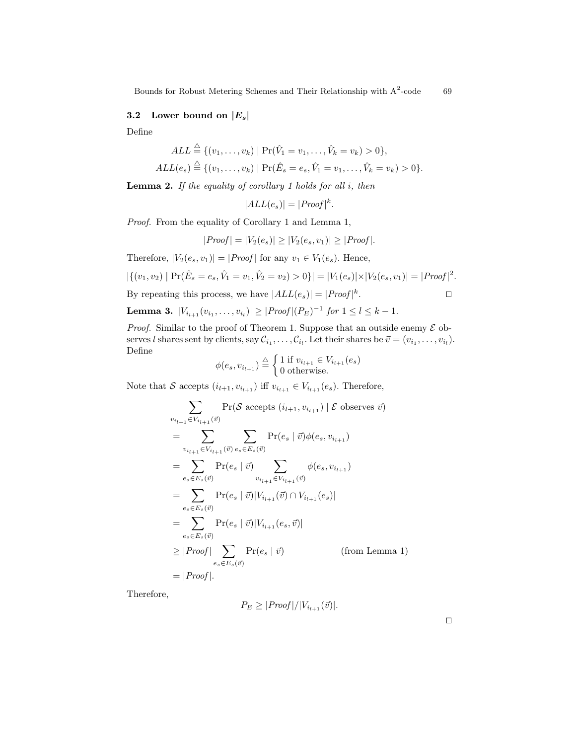## 3.2 Lower bound on  $|E_s|$

Define

$$
ALL \stackrel{\triangle}{=} \{ (v_1, \dots, v_k) \mid \Pr(\hat{V}_1 = v_1, \dots, \hat{V}_k = v_k) > 0 \},
$$
  

$$
ALL(e_s) \stackrel{\triangle}{=} \{ (v_1, \dots, v_k) \mid \Pr(\hat{E}_s = e_s, \hat{V}_1 = v_1, \dots, \hat{V}_k = v_k) > 0 \}.
$$

**Lemma 2.** If the equality of corollary 1 holds for all  $i$ , then

$$
|ALL(e_s)| = |Proof|^{k}.
$$

Proof. From the equality of Corollary 1 and Lemma 1,

$$
|Proof| = |V_2(e_s)| \ge |V_2(e_s, v_1)| \ge |Proof|.
$$

Therefore,  $|V_2(e_s, v_1)| = |Proof|$  for any  $v_1 \in V_1(e_s)$ . Hence,

$$
|\{(v_1, v_2) | \Pr(\hat{E}_s = e_s, \hat{V}_1 = v_1, \hat{V}_2 = v_2) > 0\}| = |V_1(e_s)| \times |V_2(e_s, v_1)| = |Proof|^2.
$$

By repeating this process, we have  $|ALL(e_s)| = |Proof|^{k}$ . The contract of  $\Box$ 

**Lemma 3.** 
$$
|V_{i_{l+1}}(v_{i_1},...,v_{i_l})| \geq |Proof|(P_E)^{-1}
$$
 for  $1 \leq l \leq k-1$ .

*Proof.* Similar to the proof of Theorem 1. Suppose that an outside enemy  $\mathcal E$  observes l shares sent by clients, say  $\mathcal{C}_{i_1}, \ldots, \mathcal{C}_{i_l}$ . Let their shares be  $\vec{v} = (v_{i_1}, \ldots, v_{i_l})$ . Define

$$
\phi(e_s, v_{i_{l+1}}) \stackrel{\triangle}{=} \begin{cases} 1 \text{ if } v_{i_{l+1}} \in V_{i_{l+1}}(e_s) \\ 0 \text{ otherwise.} \end{cases}
$$

Note that  $\mathcal S$  accepts  $(i_{l+1}, v_{i_{l+1}})$  iff  $v_{i_{l+1}} \in V_{i_{l+1}}(e_s).$  Therefore,

$$
\sum_{v_{i_{l+1}} \in V_{i_{l+1}}(\vec{v})} \Pr(\mathcal{S} \text{ accepts } (i_{l+1}, v_{i_{l+1}}) | \mathcal{E} \text{ observes } \vec{v})
$$
\n
$$
= \sum_{v_{i_{l+1}} \in V_{i_{l+1}}(\vec{v})} \sum_{e_s \in E_s(\vec{v})} \Pr(e_s | \vec{v}) \phi(e_s, v_{i_{l+1}})
$$
\n
$$
= \sum_{e_s \in E_s(\vec{v})} \Pr(e_s | \vec{v}) \sum_{v_{i_{l+1}} \in V_{i_{l+1}}(\vec{v})} \phi(e_s, v_{i_{l+1}})
$$
\n
$$
= \sum_{e_s \in E_s(\vec{v})} \Pr(e_s | \vec{v}) |V_{i_{l+1}}(\vec{v}) \cap V_{i_{l+1}}(e_s)|
$$
\n
$$
= \sum_{e_s \in E_s(\vec{v})} \Pr(e_s | \vec{v}) |V_{i_{l+1}}(e_s, \vec{v})|
$$
\n
$$
\geq |Proof| \sum_{e_s \in E_s(\vec{v})} \Pr(e_s | \vec{v}) \qquad \text{(from Lemma 1)}
$$
\n
$$
= |Proof|.
$$

Therefore,

$$
P_E \ge |Proof|/|V_{i_{l+1}}(\vec{v})|.
$$

 $\Box$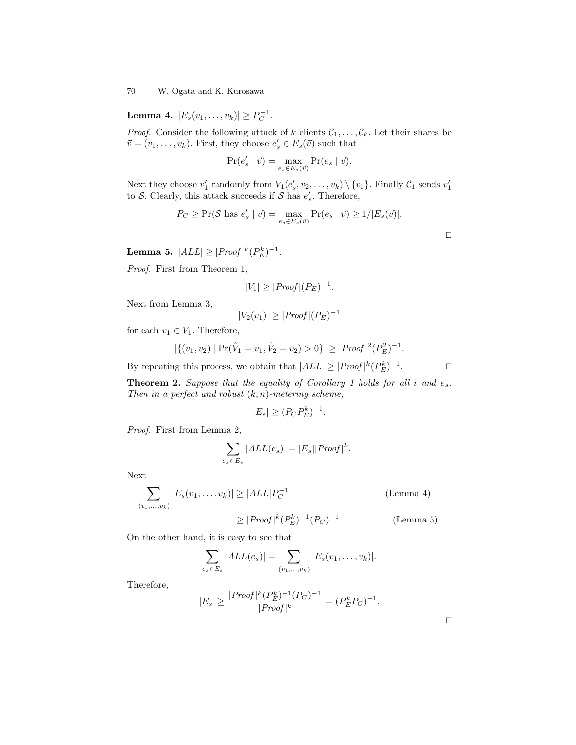Lemma 4.  $|E_s(v_1,...,v_k)| \ge P_C^{-1}$ .

*Proof.* Consider the following attack of k clients  $C_1, \ldots, C_k$ . Let their shares be  $\vec{v} = (v_1, \ldots, v_k)$ . First, they choose  $e'_s \in E_s(\vec{v})$  such that

$$
\Pr(e_s' \mid \vec{v}) = \max_{e_s \in E_s(\vec{v})} \Pr(e_s \mid \vec{v}).
$$

Next they choose  $v'_1$  randomly from  $V_1(e'_s, v_2, \ldots, v_k) \setminus \{v_1\}$ . Finally  $\mathcal{C}_1$  sends  $v'_1$ to S. Clearly, this attack succeeds if S has  $e'_s$ . Therefore,

$$
P_C \ge \Pr(\mathcal{S} \text{ has } e_s' \mid \vec{v}) = \max_{e_s \in E_s(\vec{v})} \Pr(e_s \mid \vec{v}) \ge 1/|E_s(\vec{v})|.
$$

 $\Box$ 

 $\Box$ 

Lemma 5.  $|ALL| \geq |Proof|^{k}(P_{E}^{k})^{-1}.$ 

Proof. First from Theorem 1,

$$
|V_1| \ge |Proof|(P_E)^{-1}.
$$

Next from Lemma 3,

$$
|V_2(v_1)| \ge |Proof|(P_E)^{-1}
$$

for each  $v_1 \in V_1$ . Therefore,

$$
|\{(v_1, v_2) | \Pr(\hat{V}_1 = v_1, \hat{V}_2 = v_2) > 0\}| \ge |Proof|^2(P_E^2)^{-1}.
$$

By repeating this process, we obtain that  $|ALL| \geq |Proof|^{k}(P_{E}^{k})^{-1}$  $\Box$ 

**Theorem 2.** Suppose that the equality of Corollary 1 holds for all i and  $e_s$ . Then in a perfect and robust  $(k, n)$ -metering scheme,

$$
|E_s| \ge (P_C P_E^k)^{-1}.
$$

Proof. First from Lemma 2,

$$
\sum_{e_s \in E_s} |ALL(e_s)| = |E_s| |Proof|^k.
$$

Next

$$
\sum_{(v_1, \dots, v_k)} |E_s(v_1, \dots, v_k)| \ge |ALL| P_C^{-1}
$$
 (Lemma 4)  

$$
\ge |Proof|^k (P_E^k)^{-1} (P_C)^{-1}
$$
 (Lemma 5).

On the other hand, it is easy to see that

$$
\sum_{e_s \in E_s} |ALL(e_s)| = \sum_{(v_1, ..., v_k)} |E_s(v_1, ..., v_k)|.
$$

Therefore,

$$
|E_s| \ge \frac{|Proof|^k (P_E^k)^{-1} (P_C)^{-1}}{|Proof|^k} = (P_E^k P_C)^{-1}.
$$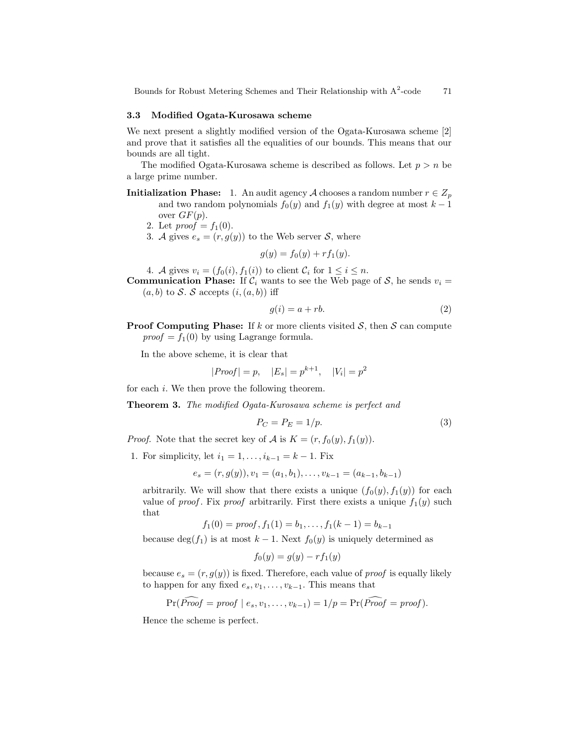### 3.3 Modified Ogata-Kurosawa scheme

We next present a slightly modified version of the Ogata-Kurosawa scheme [2] and prove that it satisfies all the equalities of our bounds. This means that our bounds are all tight.

The modified Ogata-Kurosawa scheme is described as follows. Let  $p > n$  be a large prime number.

- **Initialization Phase:** 1. An audit agency A chooses a random number  $r \in Z_p$ and two random polynomials  $f_0(y)$  and  $f_1(y)$  with degree at most  $k-1$ over  $GF(p)$ .
	- 2. Let  $proof = f_1(0)$ .
	- 3. A gives  $e_s = (r, g(y))$  to the Web server S, where

$$
g(y) = f_0(y) + r f_1(y).
$$

4. A gives  $v_i = (f_0(i), f_1(i))$  to client  $C_i$  for  $1 \leq i \leq n$ .

**Communication Phase:** If  $C_i$  wants to see the Web page of S, he sends  $v_i =$  $(a, b)$  to S. S accepts  $(i, (a, b))$  iff

$$
g(i) = a + rb.
$$
 (2)

**Proof Computing Phase:** If k or more clients visited  $S$ , then S can compute  $\text{proof} = f_1(0)$  by using Lagrange formula.

In the above scheme, it is clear that

$$
|Proof| = p, |E_s| = p^{k+1}, |V_i| = p^2
$$

for each i. We then prove the following theorem.

Theorem 3. The modified Ogata-Kurosawa scheme is perfect and

$$
P_C = P_E = 1/p. \tag{3}
$$

*Proof.* Note that the secret key of A is  $K = (r, f_0(y), f_1(y))$ .

1. For simplicity, let  $i_1 = 1, ..., i_{k-1} = k - 1$ . Fix

$$
e_s = (r, g(y)), v_1 = (a_1, b_1), \dots, v_{k-1} = (a_{k-1}, b_{k-1})
$$

arbitrarily. We will show that there exists a unique  $(f_0(y), f_1(y))$  for each value of *proof*. Fix *proof* arbitrarily. First there exists a unique  $f_1(y)$  such that

$$
f_1(0) = \text{proof}, f_1(1) = b_1, \dots, f_1(k-1) = b_{k-1}
$$

because deg(f<sub>1</sub>) is at most k – 1. Next  $f_0(y)$  is uniquely determined as

$$
f_0(y) = g(y) - rf_1(y)
$$

because  $e_s = (r, g(y))$  is fixed. Therefore, each value of *proof* is equally likely to happen for any fixed  $e_s, v_1, \ldots, v_{k-1}$ . This means that

$$
Pr(\widehat{Proof} = \text{proof} \mid e_s, v_1, \ldots, v_{k-1}) = 1/p = Pr(\widehat{Proof} = \text{proof}).
$$

Hence the scheme is perfect.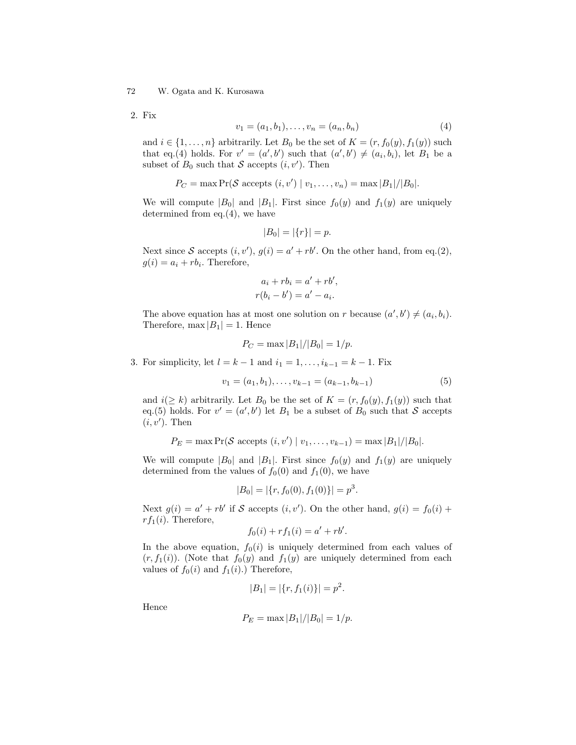2. Fix

$$
v_1 = (a_1, b_1), \dots, v_n = (a_n, b_n) \tag{4}
$$

and  $i \in \{1, \ldots, n\}$  arbitrarily. Let  $B_0$  be the set of  $K = (r, f_0(y), f_1(y))$  such that eq.(4) holds. For  $v' = (a', b')$  such that  $(a', b') \neq (a_i, b_i)$ , let  $B_1$  be a subset of  $B_0$  such that S accepts  $(i, v')$ . Then

$$
P_C = \max \Pr(\mathcal{S} \text{ accepts } (i, v') \mid v_1, \dots, v_n) = \max |B_1|/|B_0|.
$$

We will compute  $|B_0|$  and  $|B_1|$ . First since  $f_0(y)$  and  $f_1(y)$  are uniquely determined from eq.(4), we have

$$
|B_0| = |\{r\}| = p.
$$

Next since S accepts  $(i, v')$ ,  $g(i) = a' + rb'$ . On the other hand, from eq.(2),  $g(i) = a_i + rb_i$ . Therefore,

$$
a_i + rb_i = a' + rb',
$$
  

$$
r(b_i - b') = a' - a_i.
$$

The above equation has at most one solution on r because  $(a', b') \neq (a_i, b_i)$ . Therefore,  $\max |B_1| = 1$ . Hence

$$
P_C = \max |B_1|/|B_0| = 1/p.
$$

3. For simplicity, let  $l = k - 1$  and  $i_1 = 1, ..., i_{k-1} = k - 1$ . Fix

$$
v_1 = (a_1, b_1), \dots, v_{k-1} = (a_{k-1}, b_{k-1})
$$
\n
$$
(5)
$$

and  $i(\geq k)$  arbitrarily. Let  $B_0$  be the set of  $K = (r, f_0(y), f_1(y))$  such that eq.(5) holds. For  $v' = (a', b')$  let  $B_1$  be a subset of  $B_0$  such that S accepts  $(i, v')$ . Then

$$
P_E = \max \Pr(\mathcal{S} \text{ accepts } (i, v') \mid v_1, \dots, v_{k-1}) = \max |B_1|/|B_0|.
$$

We will compute  $|B_0|$  and  $|B_1|$ . First since  $f_0(y)$  and  $f_1(y)$  are uniquely determined from the values of  $f_0(0)$  and  $f_1(0)$ , we have

$$
|B_0| = |\{r, f_0(0), f_1(0)\}| = p^3.
$$

Next  $g(i) = a' + rb'$  if S accepts  $(i, v')$ . On the other hand,  $g(i) = f_0(i) +$  $rf_1(i)$ . Therefore,

$$
f_0(i) + r f_1(i) = a' + r b'.
$$

In the above equation,  $f_0(i)$  is uniquely determined from each values of  $(r, f_1(i))$ . (Note that  $f_0(y)$  and  $f_1(y)$  are uniquely determined from each values of  $f_0(i)$  and  $f_1(i)$ .) Therefore,

$$
|B_1| = |\{r, f_1(i)\}| = p^2.
$$

Hence

$$
P_E = \max |B_1|/|B_0| = 1/p.
$$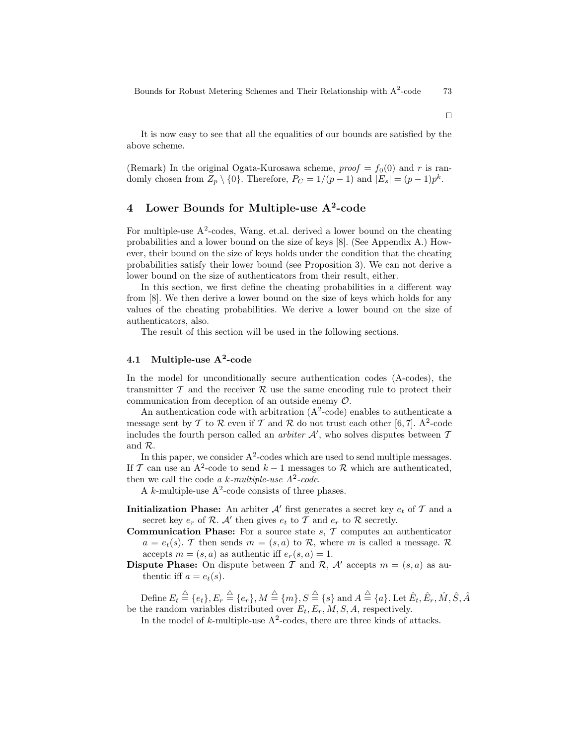It is now easy to see that all the equalities of our bounds are satisfied by the above scheme.

(Remark) In the original Ogata-Kurosawa scheme,  $proof = f<sub>0</sub>(0)$  and r is randomly chosen from  $Z_p \setminus \{0\}$ . Therefore,  $P_C = 1/(p-1)$  and  $|E_s| = (p-1)p^k$ .

# 4 Lower Bounds for Multiple-use  $A^2$ -code

For multiple-use A<sup>2</sup>-codes, Wang. et.al. derived a lower bound on the cheating probabilities and a lower bound on the size of keys [8]. (See Appendix A.) However, their bound on the size of keys holds under the condition that the cheating probabilities satisfy their lower bound (see Proposition 3). We can not derive a lower bound on the size of authenticators from their result, either.

In this section, we first define the cheating probabilities in a different way from [8]. We then derive a lower bound on the size of keys which holds for any values of the cheating probabilities. We derive a lower bound on the size of authenticators, also.

The result of this section will be used in the following sections.

## 4.1 Multiple-use  $A^2$ -code

In the model for unconditionally secure authentication codes (A-codes), the transmitter  $\mathcal T$  and the receiver  $\mathcal R$  use the same encoding rule to protect their communication from deception of an outside enemy O.

An authentication code with arbitration  $(A^2$ -code) enables to authenticate a message sent by  $T$  to  $\mathcal R$  even if  $T$  and  $\mathcal R$  do not trust each other [6, 7]. A<sup>2</sup>-code includes the fourth person called an *arbiter*  $A'$ , who solves disputes between  $T$ and R.

In this paper, we consider  $A^2$ -codes which are used to send multiple messages. If T can use an A<sup>2</sup>-code to send  $k-1$  messages to R which are authenticated, then we call the code a k-multiple-use  $A^2$ -code.

A k-multiple-use  $A^2$ -code consists of three phases.

- **Initialization Phase:** An arbiter  $\mathcal{A}'$  first generates a secret key  $e_t$  of  $\mathcal{T}$  and a secret key  $e_r$  of  $\mathcal{R}$ .  $\mathcal{A}'$  then gives  $e_t$  to  $\mathcal T$  and  $e_r$  to  $\mathcal R$  secretly.
- **Communication Phase:** For a source state  $s$ ,  $\mathcal{T}$  computes an authenticator  $a = e_t(s)$ . T then sends  $m = (s, a)$  to R, where m is called a message. R accepts  $m = (s, a)$  as authentic iff  $e_r(s, a) = 1$ .
- **Dispute Phase:** On dispute between T and R, A' accepts  $m = (s, a)$  as authentic iff  $a = e_t(s)$ .

 $\mathrm{Define} \ E_t \stackrel{\triangle}{=} \{e_t\}, E_r \stackrel{\triangle}{=} \{e_r\}, M \stackrel{\triangle}{=} \{m\}, S \stackrel{\triangle}{=} \{s\} \text{ and } A \stackrel{\triangle}{=} \{a\}. \ \mathrm{Let} \ \hat{E}_t, \hat{E}_r, \hat{M}, \hat{S}, \hat{A} \$ be the random variables distributed over  $E_t, E_r, M, S, A$ , respectively.

In the model of k-multiple-use  $A^2$ -codes, there are three kinds of attacks.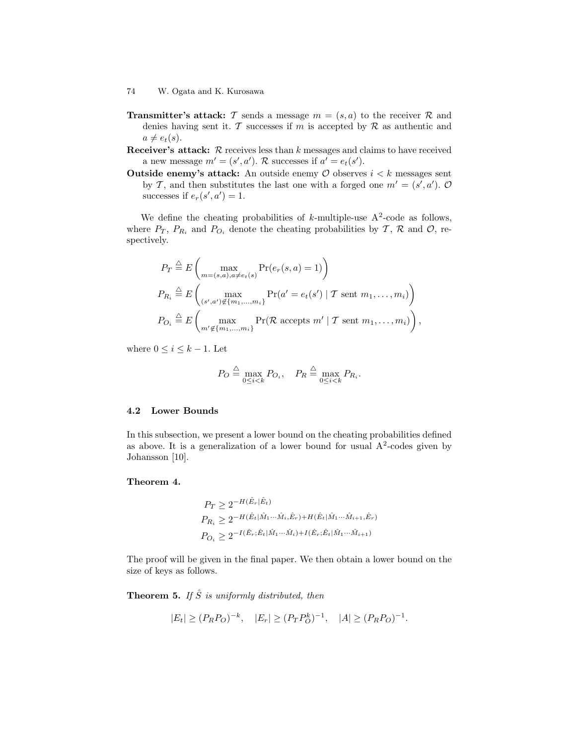- **Transmitter's attack:** T sends a message  $m = (s, a)$  to the receiver R and denies having sent it. T successes if m is accepted by  $\mathcal R$  as authentic and  $a \neq e_t(s)$ .
- Receiver's attack:  $R$  receives less than  $k$  messages and claims to have received a new message  $m' = (s', a')$ . R successes if  $a' = e_t(s')$ .
- **Outside enemy's attack:** An outside enemy  $\mathcal O$  observes  $i < k$  messages sent by T, and then substitutes the last one with a forged one  $m' = (s', a')$ . O successes if  $e_r(s', a') = 1$ .

We define the cheating probabilities of k-multiple-use  $A^2$ -code as follows, where  $P_T$ ,  $P_{R_i}$  and  $P_{O_i}$  denote the cheating probabilities by  $\mathcal{T}, \mathcal{R}$  and  $\mathcal{O}$ , respectively.

$$
P_T \stackrel{\triangle}{=} E\left(\max_{m=(s,a),a\neq e_t(s)} \Pr(e_r(s,a) = 1)\right)
$$
  
\n
$$
P_{R_i} \stackrel{\triangle}{=} E\left(\max_{(s',a')\notin\{m_1,\ldots,m_i\}} \Pr(a' = e_t(s') \mid T \text{ sent } m_1,\ldots,m_i)\right)
$$
  
\n
$$
P_{O_i} \stackrel{\triangle}{=} E\left(\max_{m'\notin\{m_1,\ldots,m_i\}} \Pr(\mathcal{R} \text{ accepts } m' \mid T \text{ sent } m_1,\ldots,m_i)\right),
$$

where  $0 \leq i \leq k-1$ . Let

$$
P_O \stackrel{\triangle}{=} \max_{0 \le i < k} P_{O_i}, \quad P_R \stackrel{\triangle}{=} \max_{0 \le i < k} P_{R_i}.
$$

### 4.2 Lower Bounds

In this subsection, we present a lower bound on the cheating probabilities defined as above. It is a generalization of a lower bound for usual  $A<sup>2</sup>$ -codes given by Johansson [10].

### Theorem 4.

$$
P_T \ge 2^{-H(\hat{E}_r|\hat{E}_t)}
$$
  
\n
$$
P_{R_i} \ge 2^{-H(\hat{E}_t|\hat{M}_1\cdots\hat{M}_i,\hat{E}_r) + H(\hat{E}_t|\hat{M}_1\cdots\hat{M}_{i+1},\hat{E}_r)}
$$
  
\n
$$
P_{O_i} \ge 2^{-I(\hat{E}_r;\hat{E}_t|\hat{M}_1\cdots\hat{M}_i) + I(\hat{E}_r;\hat{E}_t|\hat{M}_1\cdots\hat{M}_{i+1})}
$$

The proof will be given in the final paper. We then obtain a lower bound on the size of keys as follows.

**Theorem 5.** If  $\hat{S}$  is uniformly distributed, then

$$
|E_t| \ge (P_R P_O)^{-k}, \quad |E_r| \ge (P_T P_O^k)^{-1}, \quad |A| \ge (P_R P_O)^{-1}.
$$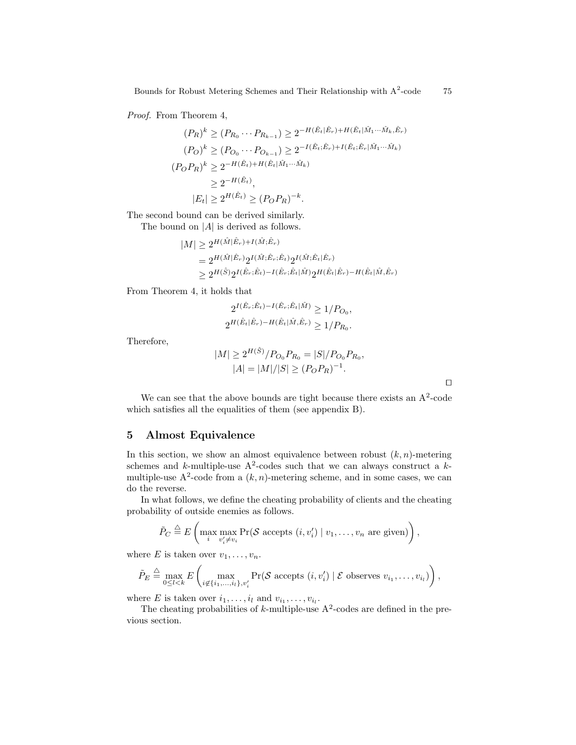Proof. From Theorem 4,

$$
(P_R)^k \ge (P_{R_0} \cdots P_{R_{k-1}}) \ge 2^{-H(\hat{E}_t|\hat{E}_r) + H(\hat{E}_t|\hat{M}_1 \cdots \hat{M}_k, \hat{E}_r)}
$$
  
\n
$$
(P_O)^k \ge (P_{O_0} \cdots P_{O_{k-1}}) \ge 2^{-I(\hat{E}_t; \hat{E}_r) + I(\hat{E}_t; \hat{E}_r|\hat{M}_1 \cdots \hat{M}_k)}
$$
  
\n
$$
(P_O P_R)^k \ge 2^{-H(\hat{E}_t) + H(\hat{E}_t|\hat{M}_1 \cdots \hat{M}_k)}
$$
  
\n
$$
\ge 2^{-H(\hat{E}_t)},
$$
  
\n
$$
|E_t| \ge 2^{H(\hat{E}_t)} \ge (P_O P_R)^{-k}.
$$

The second bound can be derived similarly.

The bound on  $|A|$  is derived as follows.

$$
|M| \ge 2^{H(\hat{M}|\hat{E}_r) + I(\hat{M}; \hat{E}_r)}
$$
  
=  $2^{H(\hat{M}|\hat{E}_r)} 2^{I(\hat{M}; \hat{E}_r; \hat{E}_t)} 2^{I(\hat{M}; \hat{E}_t|\hat{E}_r)}$   
 $\ge 2^{H(\hat{S})} 2^{I(\hat{E}_r; \hat{E}_t) - I(\hat{E}_r; \hat{E}_t|\hat{M})} 2^{H(\hat{E}_t|\hat{E}_r) - H(\hat{E}_t|\hat{M}, \hat{E}_r)}$ 

From Theorem 4, it holds that

$$
2^{I(\hat{E}_r;\hat{E}_t) - I(\hat{E}_r;\hat{E}_t|\hat{M})} \ge 1/P_{O_0},
$$
  

$$
2^{H(\hat{E}_t|\hat{E}_r) - H(\hat{E}_t|\hat{M},\hat{E}_r)} \ge 1/P_{R_0}.
$$

Therefore,

$$
|M| \ge 2^{H(\hat{S})}/P_{O_0}P_{R_0} = |S|/P_{O_0}P_{R_0},
$$
  

$$
|A| = |M|/|S| \ge (P_OP_R)^{-1}.
$$

 $\Box$ 

We can see that the above bounds are tight because there exists an  $A^2$ -code which satisfies all the equalities of them (see appendix B).

### 5 Almost Equivalence

In this section, we show an almost equivalence between robust  $(k, n)$ -metering schemes and k-multiple-use  $A^2$ -codes such that we can always construct a kmultiple-use  $A^2$ -code from a  $(k, n)$ -metering scheme, and in some cases, we can do the reverse.

In what follows, we define the cheating probability of clients and the cheating probability of outside enemies as follows.

$$
\tilde{P}_C \stackrel{\triangle}{=} E\left(\max_i \max_{v'_i \neq v_i} \Pr(\mathcal{S} \text{ accepts } (i, v'_i) \mid v_1, \dots, v_n \text{ are given})\right),\
$$

where E is taken over  $v_1, \ldots, v_n$ .

$$
\tilde{P}_E \stackrel{\triangle}{=} \max_{0 \leq l < k} E\left(\max_{i \notin \{i_1, \ldots, i_l\}, v'_i} \Pr(\mathcal{S} \text{ accepts } (i, v'_i) \mid \mathcal{E} \text{ observes } v_{i_1}, \ldots, v_{i_l})\right),
$$

where E is taken over  $i_1, \ldots, i_l$  and  $v_{i_1}, \ldots, v_{i_l}$ .

The cheating probabilities of  $k$ -multiple-use  $A^2$ -codes are defined in the previous section.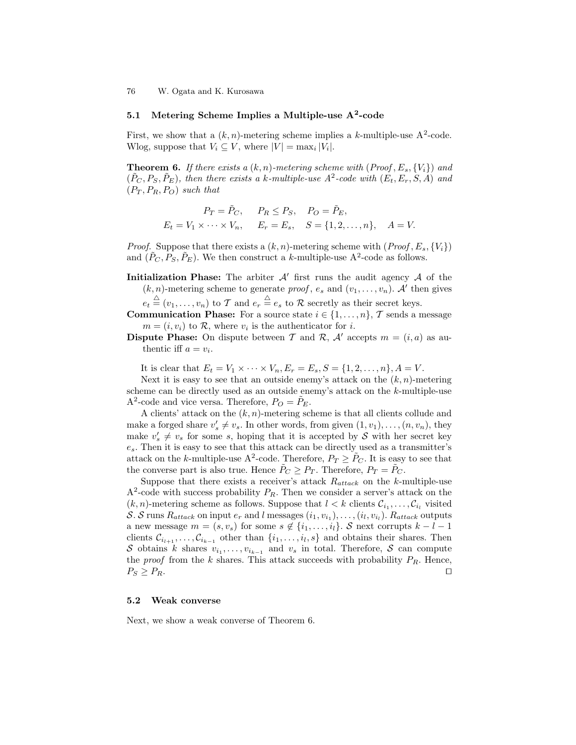## 5.1 Metering Scheme Implies a Multiple-use  $A^2$ -code

First, we show that a  $(k, n)$ -metering scheme implies a k-multiple-use  $A^2$ -code. Wlog, suppose that  $V_i \subseteq V$ , where  $|V| = \max_i |V_i|$ .

**Theorem 6.** If there exists a  $(k, n)$ -metering scheme with  $(Proof, E_s, \{V_i\})$  and  $(\tilde{P}_C, P_S, \tilde{P}_E)$ , then there exists a k-multiple-use  $A^2$ -code with  $(E_t, E_r, S, A)$  and  $(P_T, P_R, P_O)$  such that

$$
P_T = \tilde{P}_C
$$
,  $P_R \le P_S$ ,  $P_O = \tilde{P}_E$ ,  
 $E_t = V_1 \times \cdots \times V_n$ ,  $E_r = E_s$ ,  $S = \{1, 2, ..., n\}$ ,  $A = V$ .

*Proof.* Suppose that there exists a  $(k, n)$ -metering scheme with  $(Proof, E_s, \{V_i\})$ and  $(\tilde{P}_C, P_S, \tilde{P}_E)$ . We then construct a k-multiple-use A<sup>2</sup>-code as follows.

**Initialization Phase:** The arbiter  $A'$  first runs the audit agency  $A$  of the  $(k, n)$ -metering scheme to generate *proof*,  $e_s$  and  $(v_1, \ldots, v_n)$ . A' then gives

 $e_t \triangleq (v_1, \ldots, v_n)$  to T and  $e_r \triangleq e_s$  to R secretly as their secret keys.

**Communication Phase:** For a source state  $i \in \{1, ..., n\}$ , T sends a message  $m = (i, v_i)$  to R, where  $v_i$  is the authenticator for i.

**Dispute Phase:** On dispute between T and R, A' accepts  $m = (i, a)$  as authentic iff  $a = v_i$ .

It is clear that  $E_t = V_1 \times \cdots \times V_n, E_r = E_s, S = \{1, 2, \ldots, n\}, A = V$ .

Next it is easy to see that an outside enemy's attack on the  $(k, n)$ -metering scheme can be directly used as an outside enemy's attack on the  $k$ -multiple-use A<sup>2</sup>-code and vice versa. Therefore,  $P_O = \tilde{P}_E$ .

A clients' attack on the  $(k, n)$ -metering scheme is that all clients collude and make a forged share  $v'_s \neq v_s$ . In other words, from given  $(1, v_1), \ldots, (n, v_n)$ , they make  $v_s' \neq v_s$  for some s, hoping that it is accepted by S with her secret key  $e_s$ . Then it is easy to see that this attack can be directly used as a transmitter's attack on the k-multiple-use A<sup>2</sup>-code. Therefore,  $P_T \ge \tilde{P}_C$ . It is easy to see that the converse part is also true. Hence  $P_C \geq P_T$ . Therefore,  $P_T = P_C$ .

Suppose that there exists a receiver's attack  $R_{attack}$  on the k-multiple-use  $A<sup>2</sup>$ -code with success probability  $P_R$ . Then we consider a server's attack on the  $(k, n)$ -metering scheme as follows. Suppose that  $l < k$  clients  $C_{i_1}, \ldots, C_{i_l}$  visited S. S runs  $R_{attack}$  on input  $e_r$  and  $l$  messages  $(i_1, v_{i_1}), \ldots, (i_l, v_{i_l}).$   $R_{attack}$  outputs a new message  $m = (s, v_s)$  for some  $s \notin \{i_1, \ldots, i_l\}$ . S next corrupts  $k - l - 1$ clients  $\mathcal{C}_{i_{l+1}}, \ldots, \mathcal{C}_{i_{k-1}}$  other than  $\{i_1, \ldots, i_l, s\}$  and obtains their shares. Then S obtains k shares  $v_{i_1}, \ldots, v_{i_{k-1}}$  and  $v_s$  in total. Therefore, S can compute the *proof* from the  $k$  shares. This attack succeeds with probability  $P_R$ . Hence,  $P_S \geq P_R.$ 

### 5.2 Weak converse

Next, we show a weak converse of Theorem 6.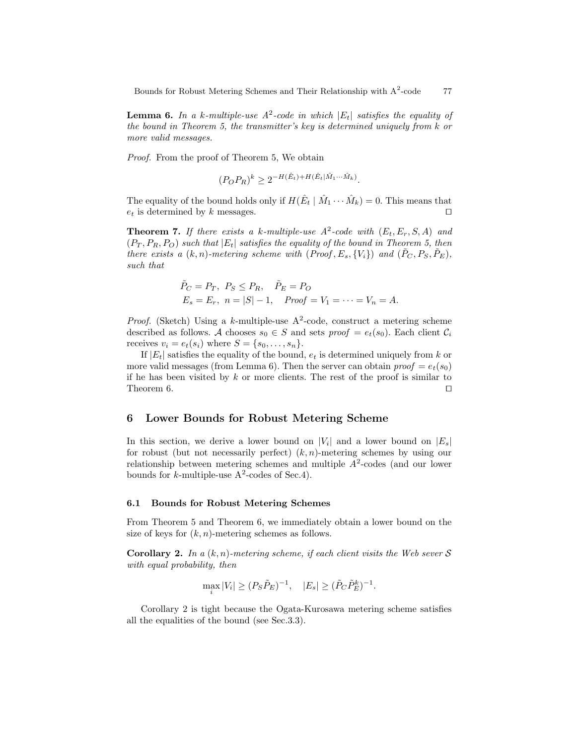**Lemma 6.** In a k-multiple-use  $A^2$ -code in which  $|E_t|$  satisfies the equality of the bound in Theorem 5, the transmitter's key is determined uniquely from k or more valid messages.

Proof. From the proof of Theorem 5, We obtain

$$
(P_OP_R)^k \ge 2^{-H(\hat{E}_t) + H(\hat{E}_t|\hat{M}_1 \cdots \hat{M}_k)}.
$$

The equality of the bound holds only if  $H(\hat{E}_t | \hat{M}_1 \cdots \hat{M}_k) = 0$ . This means that  $e_t$  is determined by k messages.

**Theorem 7.** If there exists a k-multiple-use  $A^2$ -code with  $(E_t, E_r, S, A)$  and  $(P_T, P_R, P_O)$  such that  $|E_t|$  satisfies the equality of the bound in Theorem 5, then there exists a  $(k, n)$ -metering scheme with  $(Proof, E_s, \{V_i\})$  and  $(\tilde{P}_C, P_S, \tilde{P}_E)$ , such that

$$
\tilde{P}_C = P_T, P_S \le P_R, \quad \tilde{P}_E = P_O
$$
  
\n $E_s = E_r, n = |S| - 1, \quad Proof = V_1 = \dots = V_n = A.$ 

*Proof.* (Sketch) Using a k-multiple-use  $A^2$ -code, construct a metering scheme described as follows. A chooses  $s_0 \in S$  and sets  $\text{proof} = e_t(s_0)$ . Each client  $\mathcal{C}_i$ receives  $v_i = e_t(s_i)$  where  $S = \{s_0, \ldots, s_n\}.$ 

If  $|E_t|$  satisfies the equality of the bound,  $e_t$  is determined uniquely from k or more valid messages (from Lemma 6). Then the server can obtain  $\text{proof} = e_t(s_0)$ if he has been visited by  $k$  or more clients. The rest of the proof is similar to Theorem 6.  $\Box$ 

## 6 Lower Bounds for Robust Metering Scheme

In this section, we derive a lower bound on  $|V_i|$  and a lower bound on  $|E_s|$ for robust (but not necessarily perfect)  $(k, n)$ -metering schemes by using our relationship between metering schemes and multiple  $A<sup>2</sup>$ -codes (and our lower bounds for *k*-multiple-use  $A^2$ -codes of Sec.4).

#### 6.1 Bounds for Robust Metering Schemes

From Theorem 5 and Theorem 6, we immediately obtain a lower bound on the size of keys for  $(k, n)$ -metering schemes as follows.

**Corollary 2.** In a  $(k, n)$ -metering scheme, if each client visits the Web sever S with equal probability, then

$$
\max_{i} |V_i| \ge (P_S \tilde{P}_E)^{-1}, \quad |E_s| \ge (\tilde{P}_C \tilde{P}_E^k)^{-1}.
$$

Corollary 2 is tight because the Ogata-Kurosawa metering scheme satisfies all the equalities of the bound (see Sec.3.3).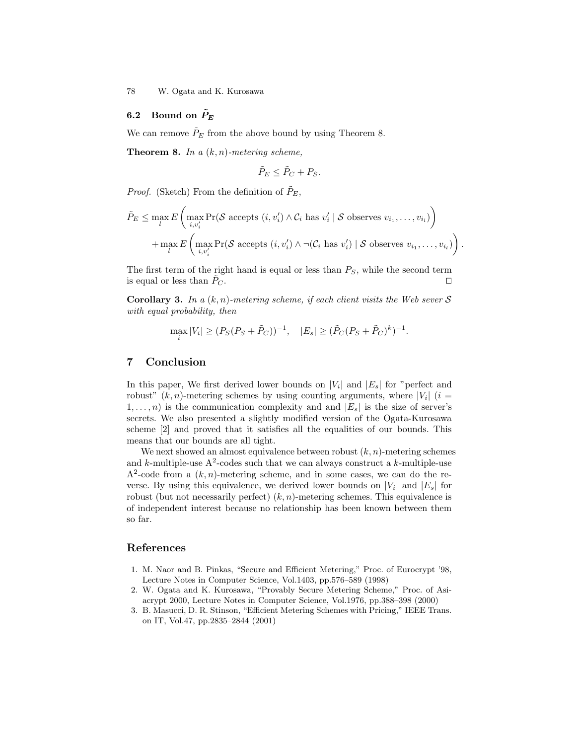## 6.2 Bound on  $\tilde{P}_E$

We can remove  $\tilde{P}_E$  from the above bound by using Theorem 8.

**Theorem 8.** In a  $(k, n)$ -metering scheme,

$$
\tilde{P}_E \le \tilde{P}_C + P_S.
$$

*Proof.* (Sketch) From the definition of  $\tilde{P}_E$ ,

$$
\tilde{P}_E \leq \max_l E\left(\max_{i,v'_i} \Pr(\mathcal{S} \text{ accepts } (i, v'_i) \land C_i \text{ has } v'_i \mid \mathcal{S} \text{ observes } v_{i_1}, \dots, v_{i_l})\right) + \max_l E\left(\max_{i,v'_i} \Pr(\mathcal{S} \text{ accepts } (i, v'_i) \land \neg(C_i \text{ has } v'_i) \mid \mathcal{S} \text{ observes } v_{i_1}, \dots, v_{i_l})\right).
$$

The first term of the right hand is equal or less than  $P<sub>S</sub>$ , while the second term is equal or less than  $P_C$ .

Corollary 3. In a  $(k, n)$ -metering scheme, if each client visits the Web sever S with equal probability, then

$$
\max_{i} |V_i| \ge (P_S(P_S + \tilde{P}_C))^{-1}, \quad |E_s| \ge (\tilde{P}_C(P_S + \tilde{P}_C)^k)^{-1}.
$$

## 7 Conclusion

In this paper, We first derived lower bounds on  $|V_i|$  and  $|E_s|$  for "perfect and robust"  $(k, n)$ -metering schemes by using counting arguments, where  $|V_i|$   $(i =$  $1, \ldots, n$ ) is the communication complexity and and  $|E_s|$  is the size of server's secrets. We also presented a slightly modified version of the Ogata-Kurosawa scheme [2] and proved that it satisfies all the equalities of our bounds. This means that our bounds are all tight.

We next showed an almost equivalence between robust  $(k, n)$ -metering schemes and k-multiple-use  $A^2$ -codes such that we can always construct a k-multiple-use  $A<sup>2</sup>$ -code from a  $(k, n)$ -metering scheme, and in some cases, we can do the reverse. By using this equivalence, we derived lower bounds on  $|V_i|$  and  $|E_s|$  for robust (but not necessarily perfect)  $(k, n)$ -metering schemes. This equivalence is of independent interest because no relationship has been known between them so far.

## References

- 1. M. Naor and B. Pinkas, "Secure and Efficient Metering," Proc. of Eurocrypt '98, Lecture Notes in Computer Science, Vol.1403, pp.576–589 (1998)
- 2. W. Ogata and K. Kurosawa, "Provably Secure Metering Scheme," Proc. of Asiacrypt 2000, Lecture Notes in Computer Science, Vol.1976, pp.388–398 (2000)
- 3. B. Masucci, D. R. Stinson, "Efficient Metering Schemes with Pricing," IEEE Trans. on IT, Vol.47, pp.2835–2844 (2001)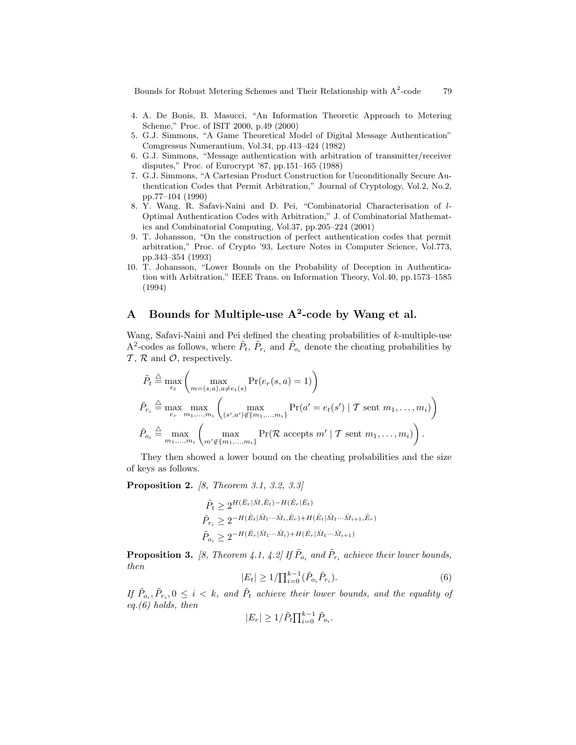- 4. A. De Bonis, B. Masucci, "An Information Theoretic Approach to Metering Scheme," Proc. of ISIT 2000, p.49 (2000)
- 5. G.J. Simmons, "A Game Theoretical Model of Digital Message Authentication" Comgressus Numerantium, Vol.34, pp.413–424 (1982)
- 6. G.J. Simmons, "Message authentication with arbitration of transmitter/receiver disputes," Proc. of Eurocrypt '87, pp.151–165 (1988)
- 7. G.J. Simmons, "A Cartesian Product Construction for Unconditionally Secure Authentication Codes that Permit Arbitration," Journal of Cryptology, Vol.2, No.2, pp.77–104 (1990)
- 8. Y. Wang, R. Safavi-Naini and D. Pei, "Combinatorial Characterisation of l-Optimal Authentication Codes with Arbitration," J. of Combinatorial Mathematics and Combinatorial Computing, Vol.37, pp.205–224 (2001)
- 9. T. Johansson, "On the construction of perfect authentication codes that permit arbitration," Proc. of Crypto '93, Lecture Notes in Computer Science, Vol.773, pp.343–354 (1993)
- 10. T. Johansson, "Lower Bounds on the Probability of Deception in Authentication with Arbitration," IEEE Trans. on Information Theory, Vol.40, pp.1573–1585 (1994)

# A Bounds for Multiple-use  $A^2$ -code by Wang et al.

Wang, Safavi-Naini and Pei defined the cheating probabilities of k-multiple-use A<sup>2</sup>-codes as follows, where  $\tilde{P}_t$ ,  $\tilde{P}_{r_i}$  and  $\tilde{P}_{o_i}$  denote the cheating probabilities by  $\mathcal{T}, \mathcal{R}$  and  $\mathcal{O}$ , respectively.

$$
\tilde{P}_t \stackrel{\triangle}{=} \max_{e_t} \left( \max_{m=(s,a),a\neq e_t(s)} \Pr(e_r(s,a) = 1) \right)
$$
\n
$$
\tilde{P}_{r_i} \stackrel{\triangle}{=} \max_{e_r} \max_{m_1,\ldots,m_i} \left( \max_{(s',a') \notin \{m_1,\ldots,m_i\}} \Pr(a' = e_t(s') \mid \mathcal{T} \text{ sent } m_1,\ldots,m_i) \right)
$$
\n
$$
\tilde{P}_{o_i} \stackrel{\triangle}{=} \max_{m_1,\ldots,m_i} \left( \max_{m' \notin \{m_1,\ldots,m_i\}} \Pr(\mathcal{R} \text{ accepts } m' \mid \mathcal{T} \text{ sent } m_1,\ldots,m_i) \right).
$$

They then showed a lower bound on the cheating probabilities and the size of keys as follows.

**Proposition 2.** [8, Theorem 3.1, 3.2, 3.3]

$$
\begin{aligned} \tilde{P}_t &\geq 2^{H(\hat{E}_r|\hat{M}, \hat{E}_t) - H(\hat{E}_r|\hat{E}_t)} \\ \tilde{P}_{r_i} &\geq 2^{-H(\hat{E}_t|\hat{M}_1\cdots\hat{M}_i, \hat{E}_r) + H(\hat{E}_t|\hat{M}_1\cdots\hat{M}_{i+1}, \hat{E}_r)} \\ \tilde{P}_{o_i} &\geq 2^{-H(\hat{E}_r|\hat{M}_1\cdots\hat{M}_i) + H(\hat{E}_r|\hat{M}_1\cdots\hat{M}_{i+1})} \end{aligned}
$$

**Proposition 3.** [8, Theorem 4.1, 4.2] If  $\tilde{P}_{o_i}$  and  $\tilde{P}_{r_i}$  achieve their lower bounds, then

$$
|E_t| \ge 1/\prod_{i=0}^{k-1} (\tilde{P}_{o_i} \tilde{P}_{r_i}).
$$
\n(6)

If  $\tilde{P}_{o_i}, \tilde{P}_{r_i}, 0 \leq i \leq k$ , and  $\tilde{P}_t$  achieve their lower bounds, and the equality of eq. $(6)$  holds, then

$$
|E_r| \ge 1/\tilde{P}_t \prod_{i=0}^{k-1} \tilde{P}_{o_i}.
$$